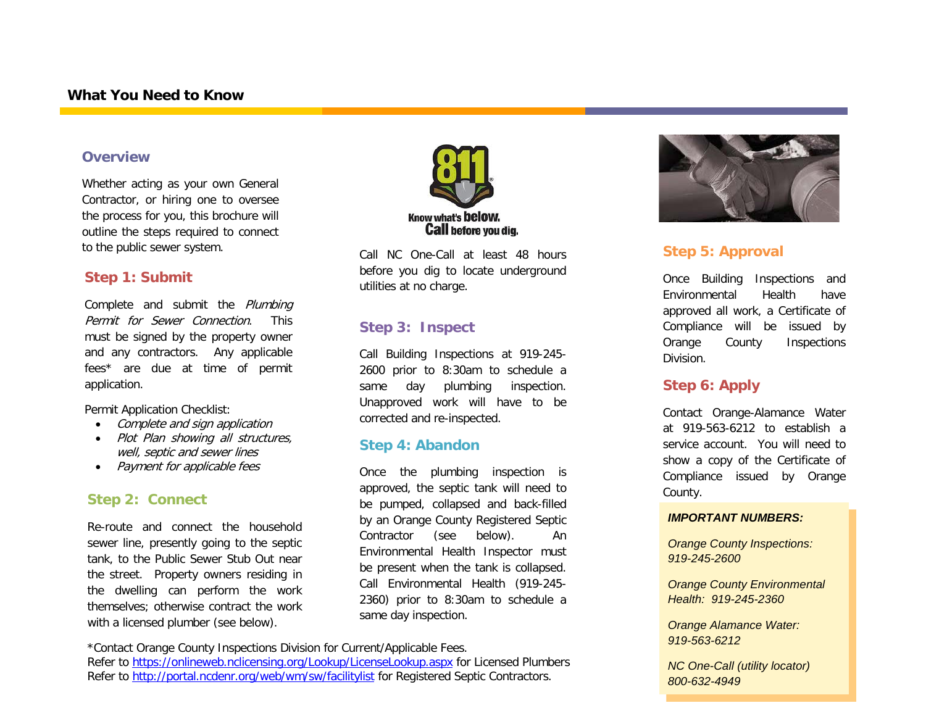#### **Overview**

Whether acting as your own General Contractor, or hiring one to oversee the process for you, this brochure will outline the steps required to connect to the public sewer system.

#### **Step 1: Submit**

Complete and submit the Plumbing Permit for Sewer Connection. This must be signed by the property owner and any contractors. Any applicable fees\* are due at time of permit application.

Permit Application Checklist:

- Complete and sign application
- Plot Plan showing all structures, well, septic and sewer lines
- Payment for applicable fees

#### **Step 2: Connect**

Re-route and connect the household sewer line, presently going to the septic tank, to the Public Sewer Stub Out near the street. Property owners residing in the dwelling can perform the work themselves; otherwise contract the work with a licensed plumber (see below).



Call NC One-Call at least 48 hours before you dig to locate underground utilities at no charge.

#### **Step 3: Inspect**

Call Building Inspections at 919-245- 2600 prior to 8:30am to schedule a same day plumbing inspection. Unapproved work will have to be corrected and re-inspected.

#### **Step 4: Abandon**

Once the plumbing inspection is approved, the septic tank will need to be pumped, collapsed and back-filled by an Orange County Registered Septic Contractor (see below). An Environmental Health Inspector must be present when the tank is collapsed. Call Environmental Health (919-245- 2360) prior to 8:30am to schedule a same day inspection.



### **Step 5: Approval**

Once Building Inspections and Environmental Health have approved all work, a Certificate of Compliance will be issued by Orange County Inspections Division.

#### **Step 6: Apply**

Contact Orange-Alamance Water at 919-563-6212 to establish a service account. You will need to show a copy of the Certificate of Compliance issued by Orange County.

#### *IMPORTANT NUMBERS:*

*Orange County Inspections: 919-245-2600*

*Orange County Environmental Health: 919-245-2360*

*Orange Alamance Water: 919-563-6212*

*NC One-Call (utility locator) 800-632-4949*

<sup>\*</sup>Contact Orange County Inspections Division for Current/Applicable Fees.

Refer to<https://onlineweb.nclicensing.org/Lookup/LicenseLookup.aspx> for Licensed Plumbers Refer to<http://portal.ncdenr.org/web/wm/sw/facilitylist> for Registered Septic Contractors.